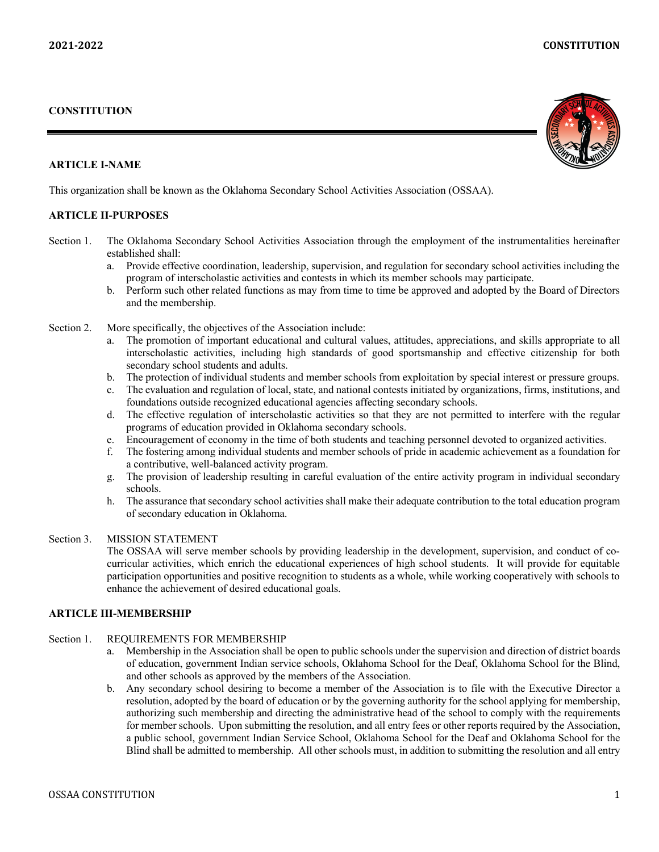### **CONSTITUTION**

#### **ARTICLE I-NAME**

This organization shall be known as the Oklahoma Secondary School Activities Association (OSSAA).

## **ARTICLE II-PURPOSES**

- Section 1. The Oklahoma Secondary School Activities Association through the employment of the instrumentalities hereinafter established shall:
	- a. Provide effective coordination, leadership, supervision, and regulation for secondary school activities including the program of interscholastic activities and contests in which its member schools may participate.
	- b. Perform such other related functions as may from time to time be approved and adopted by the Board of Directors and the membership.
- Section 2. More specifically, the objectives of the Association include:
	- a. The promotion of important educational and cultural values, attitudes, appreciations, and skills appropriate to all interscholastic activities, including high standards of good sportsmanship and effective citizenship for both secondary school students and adults.
	- b. The protection of individual students and member schools from exploitation by special interest or pressure groups.
	- c. The evaluation and regulation of local, state, and national contests initiated by organizations, firms, institutions, and foundations outside recognized educational agencies affecting secondary schools.
	- d. The effective regulation of interscholastic activities so that they are not permitted to interfere with the regular programs of education provided in Oklahoma secondary schools.
	- e. Encouragement of economy in the time of both students and teaching personnel devoted to organized activities.
	- f. The fostering among individual students and member schools of pride in academic achievement as a foundation for a contributive, well-balanced activity program.
	- g. The provision of leadership resulting in careful evaluation of the entire activity program in individual secondary schools.
	- h. The assurance that secondary school activities shall make their adequate contribution to the total education program of secondary education in Oklahoma.

## Section 3. MISSION STATEMENT

The OSSAA will serve member schools by providing leadership in the development, supervision, and conduct of cocurricular activities, which enrich the educational experiences of high school students. It will provide for equitable participation opportunities and positive recognition to students as a whole, while working cooperatively with schools to enhance the achievement of desired educational goals.

#### **ARTICLE III-MEMBERSHIP**

## Section 1. REQUIREMENTS FOR MEMBERSHIP

- a. Membership in the Association shall be open to public schools under the supervision and direction of district boards of education, government Indian service schools, Oklahoma School for the Deaf, Oklahoma School for the Blind, and other schools as approved by the members of the Association.
- b. Any secondary school desiring to become a member of the Association is to file with the Executive Director a resolution, adopted by the board of education or by the governing authority for the school applying for membership, authorizing such membership and directing the administrative head of the school to comply with the requirements for member schools. Upon submitting the resolution, and all entry fees or other reports required by the Association, a public school, government Indian Service School, Oklahoma School for the Deaf and Oklahoma School for the Blind shall be admitted to membership. All other schools must, in addition to submitting the resolution and all entry

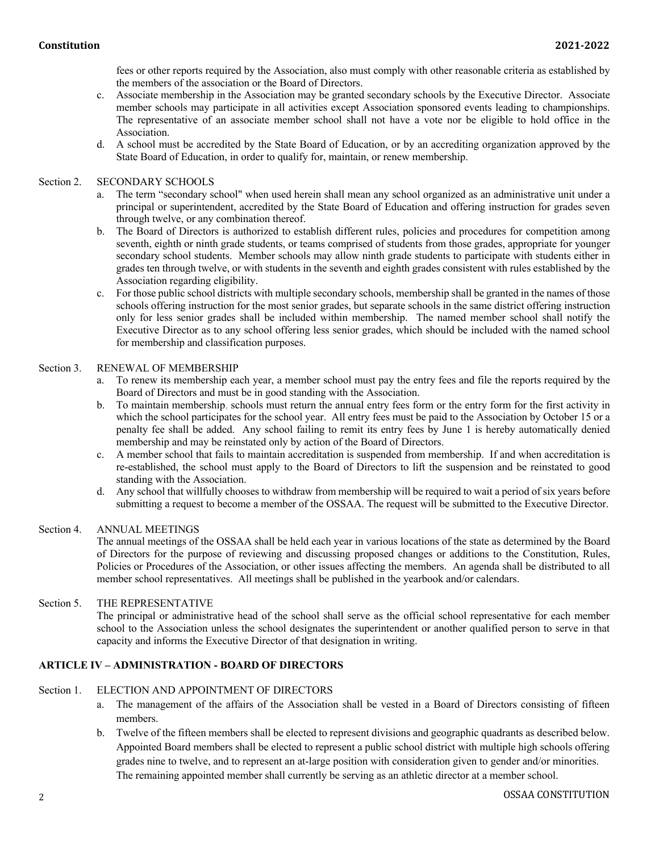fees or other reports required by the Association, also must comply with other reasonable criteria as established by the members of the association or the Board of Directors.

- c. Associate membership in the Association may be granted secondary schools by the Executive Director. Associate member schools may participate in all activities except Association sponsored events leading to championships. The representative of an associate member school shall not have a vote nor be eligible to hold office in the Association.
- d. A school must be accredited by the State Board of Education, or by an accrediting organization approved by the State Board of Education, in order to qualify for, maintain, or renew membership.

#### Section 2. SECONDARY SCHOOLS

- a. The term "secondary school" when used herein shall mean any school organized as an administrative unit under a principal or superintendent, accredited by the State Board of Education and offering instruction for grades seven through twelve, or any combination thereof.
- b. The Board of Directors is authorized to establish different rules, policies and procedures for competition among seventh, eighth or ninth grade students, or teams comprised of students from those grades, appropriate for younger secondary school students. Member schools may allow ninth grade students to participate with students either in grades ten through twelve, or with students in the seventh and eighth grades consistent with rules established by the Association regarding eligibility.
- c. For those public school districts with multiple secondary schools, membership shall be granted in the names of those schools offering instruction for the most senior grades, but separate schools in the same district offering instruction only for less senior grades shall be included within membership. The named member school shall notify the Executive Director as to any school offering less senior grades, which should be included with the named school for membership and classification purposes.

#### Section 3. RENEWAL OF MEMBERSHIP

- a. To renew its membership each year, a member school must pay the entry fees and file the reports required by the Board of Directors and must be in good standing with the Association.
- b. To maintain membership, schools must return the annual entry fees form or the entry form for the first activity in which the school participates for the school year. All entry fees must be paid to the Association by October 15 or a penalty fee shall be added. Any school failing to remit its entry fees by June 1 is hereby automatically denied membership and may be reinstated only by action of the Board of Directors.
- c. A member school that fails to maintain accreditation is suspended from membership. If and when accreditation is re-established, the school must apply to the Board of Directors to lift the suspension and be reinstated to good standing with the Association.
- d. Any school that willfully chooses to withdraw from membership will be required to wait a period of six years before submitting a request to become a member of the OSSAA. The request will be submitted to the Executive Director.

#### Section 4. ANNUAL MEETINGS

The annual meetings of the OSSAA shall be held each year in various locations of the state as determined by the Board of Directors for the purpose of reviewing and discussing proposed changes or additions to the Constitution, Rules, Policies or Procedures of the Association, or other issues affecting the members. An agenda shall be distributed to all member school representatives. All meetings shall be published in the yearbook and/or calendars.

## Section 5. THE REPRESENTATIVE

The principal or administrative head of the school shall serve as the official school representative for each member school to the Association unless the school designates the superintendent or another qualified person to serve in that capacity and informs the Executive Director of that designation in writing.

## **ARTICLE IV – ADMINISTRATION - BOARD OF DIRECTORS**

#### Section 1. ELECTION AND APPOINTMENT OF DIRECTORS

- a. The management of the affairs of the Association shall be vested in a Board of Directors consisting of fifteen members.
- b. Twelve of the fifteen members shall be elected to represent divisions and geographic quadrants as described below. Appointed Board members shall be elected to represent a public school district with multiple high schools offering grades nine to twelve, and to represent an at-large position with consideration given to gender and/or minorities. The remaining appointed member shall currently be serving as an athletic director at a member school.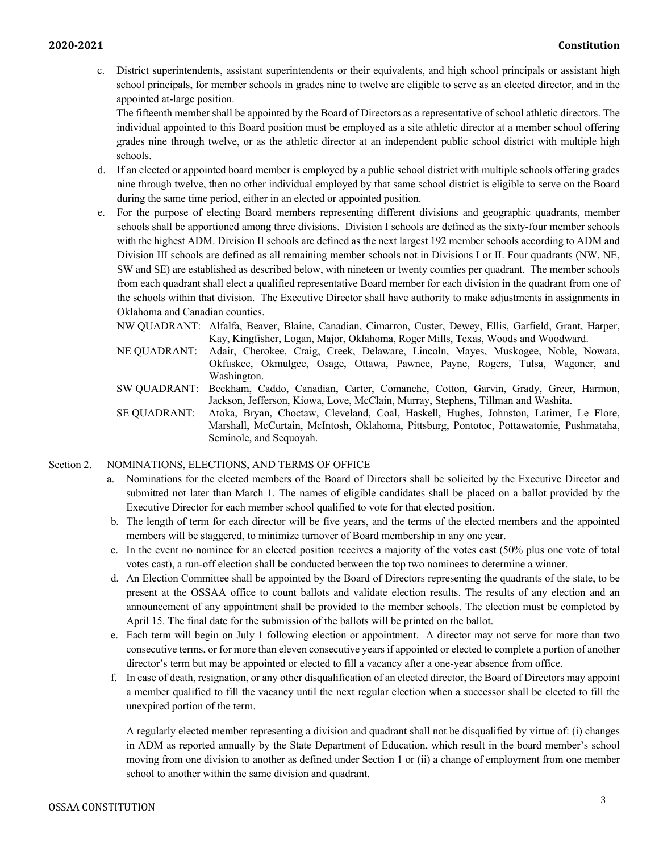c. District superintendents, assistant superintendents or their equivalents, and high school principals or assistant high school principals, for member schools in grades nine to twelve are eligible to serve as an elected director, and in the appointed at-large position.

The fifteenth member shall be appointed by the Board of Directors as a representative of school athletic directors. The individual appointed to this Board position must be employed as a site athletic director at a member school offering grades nine through twelve, or as the athletic director at an independent public school district with multiple high schools.

- d. If an elected or appointed board member is employed by a public school district with multiple schools offering grades nine through twelve, then no other individual employed by that same school district is eligible to serve on the Board during the same time period, either in an elected or appointed position.
- e. For the purpose of electing Board members representing different divisions and geographic quadrants, member schools shall be apportioned among three divisions. Division I schools are defined as the sixty-four member schools with the highest ADM. Division II schools are defined as the next largest 192 member schools according to ADM and Division III schools are defined as all remaining member schools not in Divisions I or II. Four quadrants (NW, NE, SW and SE) are established as described below, with nineteen or twenty counties per quadrant. The member schools from each quadrant shall elect a qualified representative Board member for each division in the quadrant from one of the schools within that division. The Executive Director shall have authority to make adjustments in assignments in Oklahoma and Canadian counties.
	- NW QUADRANT: Alfalfa, Beaver, Blaine, Canadian, Cimarron, Custer, Dewey, Ellis, Garfield, Grant, Harper, Kay, Kingfisher, Logan, Major, Oklahoma, Roger Mills, Texas, Woods and Woodward.
	- NE QUADRANT: Adair, Cherokee, Craig, Creek, Delaware, Lincoln, Mayes, Muskogee, Noble, Nowata, Okfuskee, Okmulgee, Osage, Ottawa, Pawnee, Payne, Rogers, Tulsa, Wagoner, and Washington.
	- SW QUADRANT: Beckham, Caddo, Canadian, Carter, Comanche, Cotton, Garvin, Grady, Greer, Harmon, Jackson, Jefferson, Kiowa, Love, McClain, Murray, Stephens, Tillman and Washita.
	- SE QUADRANT: Atoka, Bryan, Choctaw, Cleveland, Coal, Haskell, Hughes, Johnston, Latimer, Le Flore, Marshall, McCurtain, McIntosh, Oklahoma, Pittsburg, Pontotoc, Pottawatomie, Pushmataha, Seminole, and Sequoyah.

## Section 2. NOMINATIONS, ELECTIONS, AND TERMS OF OFFICE

- a. Nominations for the elected members of the Board of Directors shall be solicited by the Executive Director and submitted not later than March 1. The names of eligible candidates shall be placed on a ballot provided by the Executive Director for each member school qualified to vote for that elected position.
- b. The length of term for each director will be five years, and the terms of the elected members and the appointed members will be staggered, to minimize turnover of Board membership in any one year.
- c. In the event no nominee for an elected position receives a majority of the votes cast (50% plus one vote of total votes cast), a run-off election shall be conducted between the top two nominees to determine a winner.
- d. An Election Committee shall be appointed by the Board of Directors representing the quadrants of the state, to be present at the OSSAA office to count ballots and validate election results. The results of any election and an announcement of any appointment shall be provided to the member schools. The election must be completed by April 15. The final date for the submission of the ballots will be printed on the ballot.
- e. Each term will begin on July 1 following election or appointment. A director may not serve for more than two consecutive terms, or for more than eleven consecutive years if appointed or elected to complete a portion of another director's term but may be appointed or elected to fill a vacancy after a one-year absence from office.
- f. In case of death, resignation, or any other disqualification of an elected director, the Board of Directors may appoint a member qualified to fill the vacancy until the next regular election when a successor shall be elected to fill the unexpired portion of the term.

A regularly elected member representing a division and quadrant shall not be disqualified by virtue of: (i) changes in ADM as reported annually by the State Department of Education, which result in the board member's school moving from one division to another as defined under Section 1 or (ii) a change of employment from one member school to another within the same division and quadrant.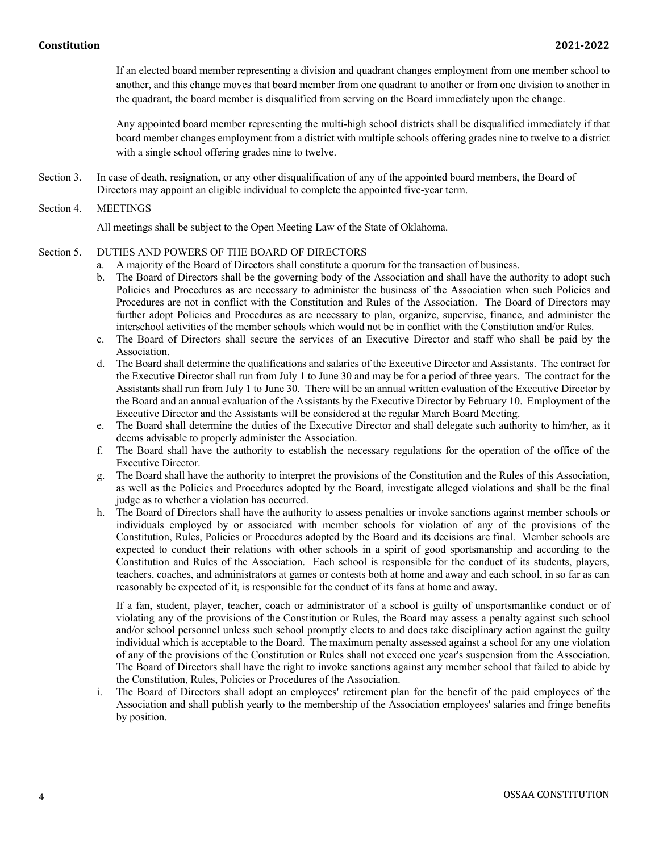If an elected board member representing a division and quadrant changes employment from one member school to another, and this change moves that board member from one quadrant to another or from one division to another in the quadrant, the board member is disqualified from serving on the Board immediately upon the change.

Any appointed board member representing the multi-high school districts shall be disqualified immediately if that board member changes employment from a district with multiple schools offering grades nine to twelve to a district with a single school offering grades nine to twelve.

Section 3. In case of death, resignation, or any other disqualification of any of the appointed board members, the Board of Directors may appoint an eligible individual to complete the appointed five-year term.

#### Section 4. MEETINGS

All meetings shall be subject to the Open Meeting Law of the State of Oklahoma.

### Section 5. DUTIES AND POWERS OF THE BOARD OF DIRECTORS

- a. A majority of the Board of Directors shall constitute a quorum for the transaction of business.
- b. The Board of Directors shall be the governing body of the Association and shall have the authority to adopt such Policies and Procedures as are necessary to administer the business of the Association when such Policies and Procedures are not in conflict with the Constitution and Rules of the Association. The Board of Directors may further adopt Policies and Procedures as are necessary to plan, organize, supervise, finance, and administer the interschool activities of the member schools which would not be in conflict with the Constitution and/or Rules.
- c. The Board of Directors shall secure the services of an Executive Director and staff who shall be paid by the Association.
- d. The Board shall determine the qualifications and salaries of the Executive Director and Assistants. The contract for the Executive Director shall run from July 1 to June 30 and may be for a period of three years. The contract for the Assistants shall run from July 1 to June 30. There will be an annual written evaluation of the Executive Director by the Board and an annual evaluation of the Assistants by the Executive Director by February 10. Employment of the Executive Director and the Assistants will be considered at the regular March Board Meeting.
- e. The Board shall determine the duties of the Executive Director and shall delegate such authority to him/her, as it deems advisable to properly administer the Association.
- f. The Board shall have the authority to establish the necessary regulations for the operation of the office of the Executive Director.
- g. The Board shall have the authority to interpret the provisions of the Constitution and the Rules of this Association, as well as the Policies and Procedures adopted by the Board, investigate alleged violations and shall be the final judge as to whether a violation has occurred.
- h. The Board of Directors shall have the authority to assess penalties or invoke sanctions against member schools or individuals employed by or associated with member schools for violation of any of the provisions of the Constitution, Rules, Policies or Procedures adopted by the Board and its decisions are final. Member schools are expected to conduct their relations with other schools in a spirit of good sportsmanship and according to the Constitution and Rules of the Association. Each school is responsible for the conduct of its students, players, teachers, coaches, and administrators at games or contests both at home and away and each school, in so far as can reasonably be expected of it, is responsible for the conduct of its fans at home and away.

If a fan, student, player, teacher, coach or administrator of a school is guilty of unsportsmanlike conduct or of violating any of the provisions of the Constitution or Rules, the Board may assess a penalty against such school and/or school personnel unless such school promptly elects to and does take disciplinary action against the guilty individual which is acceptable to the Board. The maximum penalty assessed against a school for any one violation of any of the provisions of the Constitution or Rules shall not exceed one year's suspension from the Association. The Board of Directors shall have the right to invoke sanctions against any member school that failed to abide by the Constitution, Rules, Policies or Procedures of the Association.

i. The Board of Directors shall adopt an employees' retirement plan for the benefit of the paid employees of the Association and shall publish yearly to the membership of the Association employees' salaries and fringe benefits by position.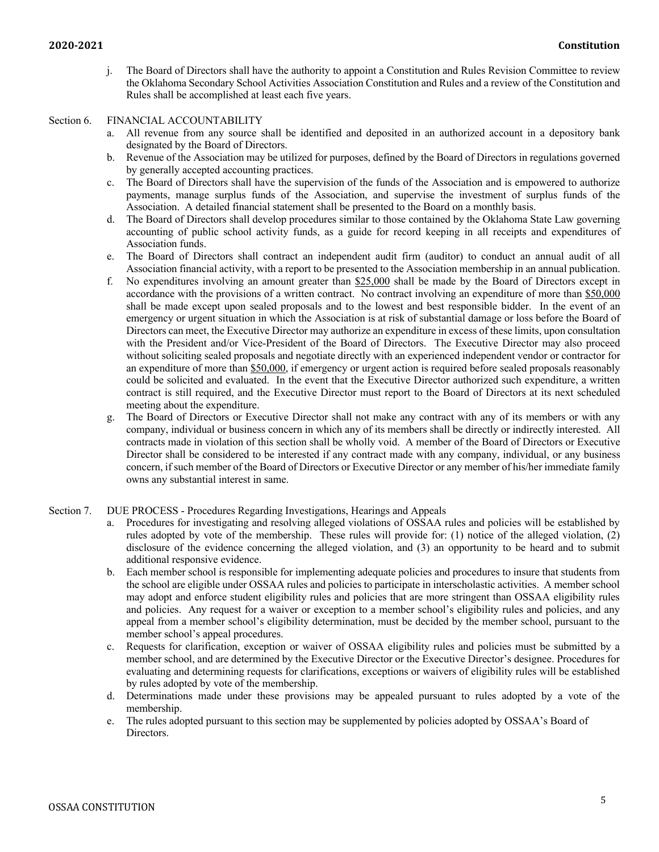j. The Board of Directors shall have the authority to appoint a Constitution and Rules Revision Committee to review the Oklahoma Secondary School Activities Association Constitution and Rules and a review of the Constitution and Rules shall be accomplished at least each five years.

#### Section 6. FINANCIAL ACCOUNTABILITY

- a. All revenue from any source shall be identified and deposited in an authorized account in a depository bank designated by the Board of Directors.
- b. Revenue of the Association may be utilized for purposes, defined by the Board of Directors in regulations governed by generally accepted accounting practices.
- c. The Board of Directors shall have the supervision of the funds of the Association and is empowered to authorize payments, manage surplus funds of the Association, and supervise the investment of surplus funds of the Association. A detailed financial statement shall be presented to the Board on a monthly basis.
- d. The Board of Directors shall develop procedures similar to those contained by the Oklahoma State Law governing accounting of public school activity funds, as a guide for record keeping in all receipts and expenditures of Association funds.
- e. The Board of Directors shall contract an independent audit firm (auditor) to conduct an annual audit of all Association financial activity, with a report to be presented to the Association membership in an annual publication.
- f. No expenditures involving an amount greater than \$25,000 shall be made by the Board of Directors except in accordance with the provisions of a written contract. No contract involving an expenditure of more than \$50,000 shall be made except upon sealed proposals and to the lowest and best responsible bidder. In the event of an emergency or urgent situation in which the Association is at risk of substantial damage or loss before the Board of Directors can meet, the Executive Director may authorize an expenditure in excess of these limits, upon consultation with the President and/or Vice-President of the Board of Directors. The Executive Director may also proceed without soliciting sealed proposals and negotiate directly with an experienced independent vendor or contractor for an expenditure of more than \$50,000, if emergency or urgent action is required before sealed proposals reasonably could be solicited and evaluated. In the event that the Executive Director authorized such expenditure, a written contract is still required, and the Executive Director must report to the Board of Directors at its next scheduled meeting about the expenditure.
- g. The Board of Directors or Executive Director shall not make any contract with any of its members or with any company, individual or business concern in which any of its members shall be directly or indirectly interested. All contracts made in violation of this section shall be wholly void. A member of the Board of Directors or Executive Director shall be considered to be interested if any contract made with any company, individual, or any business concern, if such member of the Board of Directors or Executive Director or any member of his/her immediate family owns any substantial interest in same.
- Section 7. DUE PROCESS Procedures Regarding Investigations, Hearings and Appeals
	- a. Procedures for investigating and resolving alleged violations of OSSAA rules and policies will be established by rules adopted by vote of the membership. These rules will provide for: (1) notice of the alleged violation, (2) disclosure of the evidence concerning the alleged violation, and (3) an opportunity to be heard and to submit additional responsive evidence.
	- b. Each member school is responsible for implementing adequate policies and procedures to insure that students from the school are eligible under OSSAA rules and policies to participate in interscholastic activities. A member school may adopt and enforce student eligibility rules and policies that are more stringent than OSSAA eligibility rules and policies. Any request for a waiver or exception to a member school's eligibility rules and policies, and any appeal from a member school's eligibility determination, must be decided by the member school, pursuant to the member school's appeal procedures.
	- c. Requests for clarification, exception or waiver of OSSAA eligibility rules and policies must be submitted by a member school, and are determined by the Executive Director or the Executive Director's designee. Procedures for evaluating and determining requests for clarifications, exceptions or waivers of eligibility rules will be established by rules adopted by vote of the membership.
	- d. Determinations made under these provisions may be appealed pursuant to rules adopted by a vote of the membership.
	- e. The rules adopted pursuant to this section may be supplemented by policies adopted by OSSAA's Board of Directors.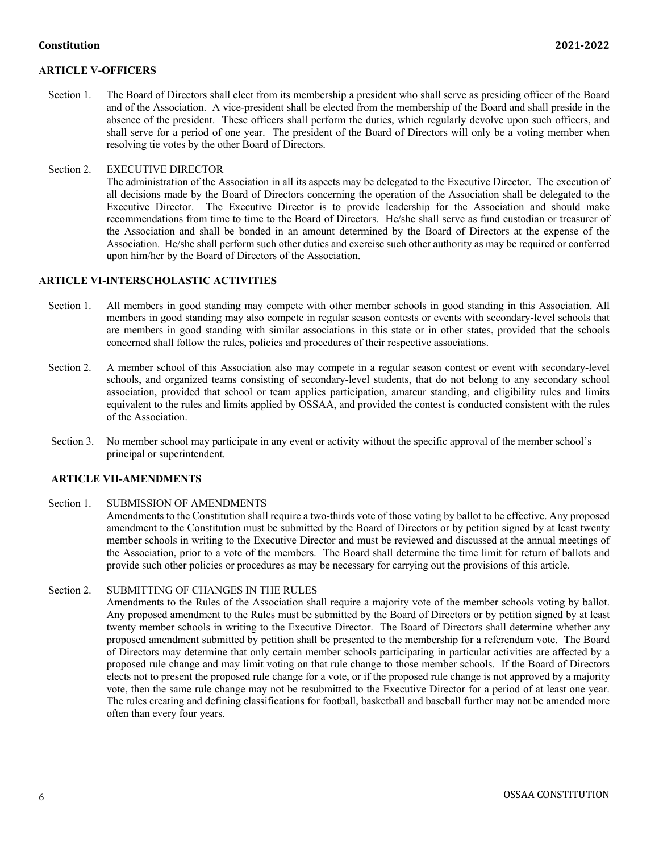#### **Constitution 2021-2022**

## **ARTICLE V-OFFICERS**

Section 1. The Board of Directors shall elect from its membership a president who shall serve as presiding officer of the Board and of the Association. A vice-president shall be elected from the membership of the Board and shall preside in the absence of the president. These officers shall perform the duties, which regularly devolve upon such officers, and shall serve for a period of one year. The president of the Board of Directors will only be a voting member when resolving tie votes by the other Board of Directors.

#### Section 2. EXECUTIVE DIRECTOR

The administration of the Association in all its aspects may be delegated to the Executive Director. The execution of all decisions made by the Board of Directors concerning the operation of the Association shall be delegated to the Executive Director. The Executive Director is to provide leadership for the Association and should make recommendations from time to time to the Board of Directors. He/she shall serve as fund custodian or treasurer of the Association and shall be bonded in an amount determined by the Board of Directors at the expense of the Association. He/she shall perform such other duties and exercise such other authority as may be required or conferred upon him/her by the Board of Directors of the Association.

#### **ARTICLE VI-INTERSCHOLASTIC ACTIVITIES**

- Section 1. All members in good standing may compete with other member schools in good standing in this Association. All members in good standing may also compete in regular season contests or events with secondary-level schools that are members in good standing with similar associations in this state or in other states, provided that the schools concerned shall follow the rules, policies and procedures of their respective associations.
- Section 2. A member school of this Association also may compete in a regular season contest or event with secondary-level schools, and organized teams consisting of secondary-level students, that do not belong to any secondary school association, provided that school or team applies participation, amateur standing, and eligibility rules and limits equivalent to the rules and limits applied by OSSAA, and provided the contest is conducted consistent with the rules of the Association.
- Section 3. No member school may participate in any event or activity without the specific approval of the member school's principal or superintendent.

## **ARTICLE VII-AMENDMENTS**

#### Section 1. SUBMISSION OF AMENDMENTS

Amendments to the Constitution shall require a two-thirds vote of those voting by ballot to be effective. Any proposed amendment to the Constitution must be submitted by the Board of Directors or by petition signed by at least twenty member schools in writing to the Executive Director and must be reviewed and discussed at the annual meetings of the Association, prior to a vote of the members. The Board shall determine the time limit for return of ballots and provide such other policies or procedures as may be necessary for carrying out the provisions of this article.

#### Section 2. SUBMITTING OF CHANGES IN THE RULES

Amendments to the Rules of the Association shall require a majority vote of the member schools voting by ballot. Any proposed amendment to the Rules must be submitted by the Board of Directors or by petition signed by at least twenty member schools in writing to the Executive Director. The Board of Directors shall determine whether any proposed amendment submitted by petition shall be presented to the membership for a referendum vote. The Board of Directors may determine that only certain member schools participating in particular activities are affected by a proposed rule change and may limit voting on that rule change to those member schools. If the Board of Directors elects not to present the proposed rule change for a vote, or if the proposed rule change is not approved by a majority vote, then the same rule change may not be resubmitted to the Executive Director for a period of at least one year. The rules creating and defining classifications for football, basketball and baseball further may not be amended more often than every four years.